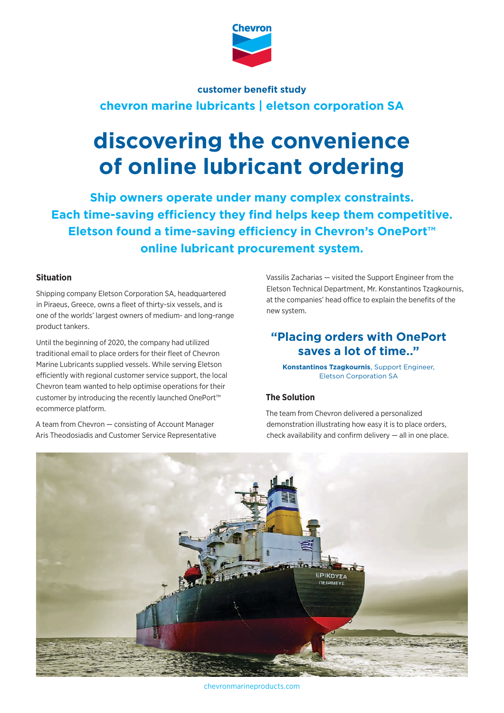

## **chevron marine lubricants | eletson corporation SA customer benefit study**

# **discovering the convenience of online lubricant ordering**

**Ship owners operate under many complex constraints. Each time-saving efficiency they find helps keep them competitive. Eletson found a time-saving efficiency in Chevron's OnePort™ online lubricant procurement system.**

#### **Situation**

Shipping company Eletson Corporation SA, headquartered in Piraeus, Greece, owns a fleet of thirty-six vessels, and is one of the worlds' largest owners of medium- and long-range product tankers.

Until the beginning of 2020, the company had utilized traditional email to place orders for their fleet of Chevron Marine Lubricants supplied vessels. While serving Eletson efficiently with regional customer service support, the local Chevron team wanted to help optimise operations for their customer by introducing the recently launched OnePort™ ecommerce platform.

A team from Chevron — consisting of Account Manager Aris Theodosiadis and Customer Service Representative Vassilis Zacharias — visited the Support Engineer from the Eletson Technical Department, Mr. Konstantinos Tzagkournis, at the companies' head office to explain the benefits of the new system.

## **"Placing orders with OnePort saves a lot of time…"**

**Konstantinos Tzagkournis**, Support Engineer, Eletson Corporation SA

### **The Solution**

The team from Chevron delivered a personalized demonstration illustrating how easy it is to place orders, check availability and confirm delivery — all in one place.